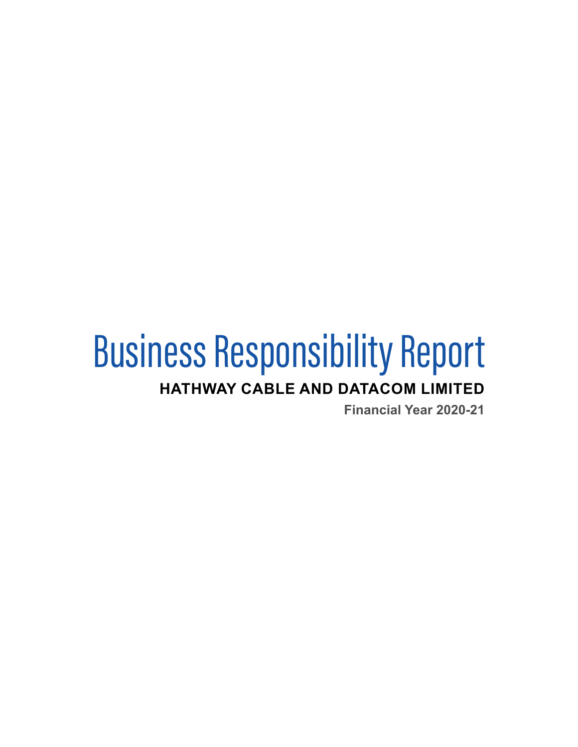# Business Responsibility Report **HATHWAY CABLE AND DATACOM LIMITED**

**Financial Year 2020-21**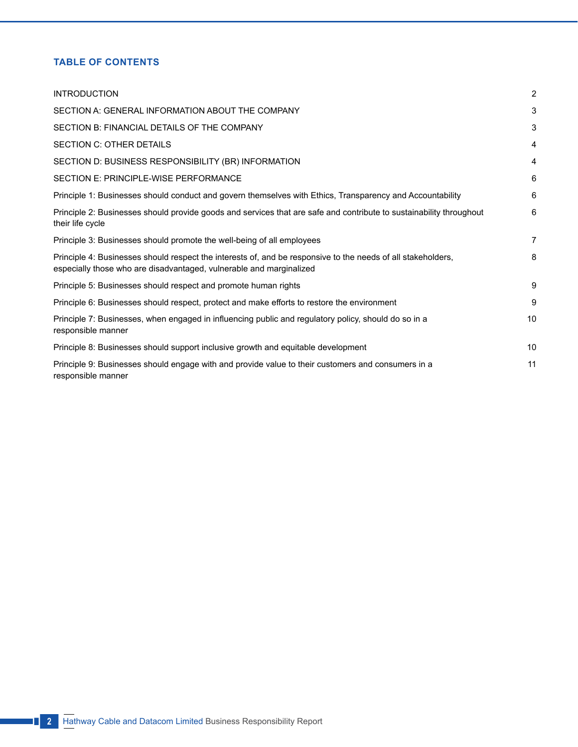# **Table of Contents**

| <b>INTRODUCTION</b>                                                                                                                                                                 | $\overline{2}$ |
|-------------------------------------------------------------------------------------------------------------------------------------------------------------------------------------|----------------|
| SECTION A: GENERAL INFORMATION ABOUT THE COMPANY                                                                                                                                    | 3              |
| SECTION B: FINANCIAL DETAILS OF THE COMPANY                                                                                                                                         | 3              |
| <b>SECTION C: OTHER DETAILS</b>                                                                                                                                                     | 4              |
| SECTION D: BUSINESS RESPONSIBILITY (BR) INFORMATION                                                                                                                                 | 4              |
| SECTION E: PRINCIPLE-WISE PERFORMANCE                                                                                                                                               | 6              |
| Principle 1: Businesses should conduct and govern themselves with Ethics, Transparency and Accountability                                                                           | 6              |
| Principle 2: Businesses should provide goods and services that are safe and contribute to sustainability throughout<br>their life cycle                                             | 6              |
| Principle 3: Businesses should promote the well-being of all employees                                                                                                              | $\overline{7}$ |
| Principle 4: Businesses should respect the interests of, and be responsive to the needs of all stakeholders,<br>especially those who are disadvantaged, vulnerable and marginalized | 8              |
| Principle 5: Businesses should respect and promote human rights                                                                                                                     | 9              |
| Principle 6: Businesses should respect, protect and make efforts to restore the environment                                                                                         | 9              |
| Principle 7: Businesses, when engaged in influencing public and regulatory policy, should do so in a<br>responsible manner                                                          | 10             |
| Principle 8: Businesses should support inclusive growth and equitable development                                                                                                   | 10             |
| Principle 9: Businesses should engage with and provide value to their customers and consumers in a<br>responsible manner                                                            | 11             |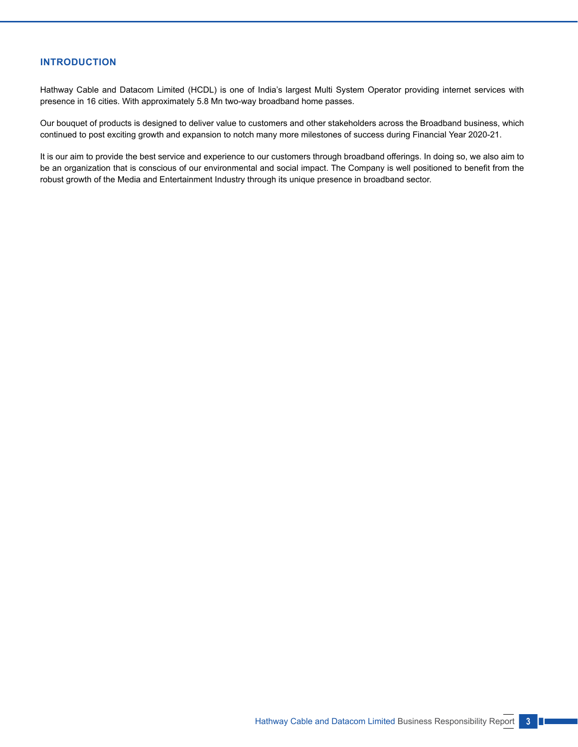# **INTRODUCTION**

Hathway Cable and Datacom Limited (HCDL) is one of India's largest Multi System Operator providing internet services with presence in 16 cities. With approximately 5.8 Mn two-way broadband home passes.

Our bouquet of products is designed to deliver value to customers and other stakeholders across the Broadband business, which continued to post exciting growth and expansion to notch many more milestones of success during Financial Year 2020-21.

It is our aim to provide the best service and experience to our customers through broadband offerings. In doing so, we also aim to be an organization that is conscious of our environmental and social impact. The Company is well positioned to benefit from the robust growth of the Media and Entertainment Industry through its unique presence in broadband sector.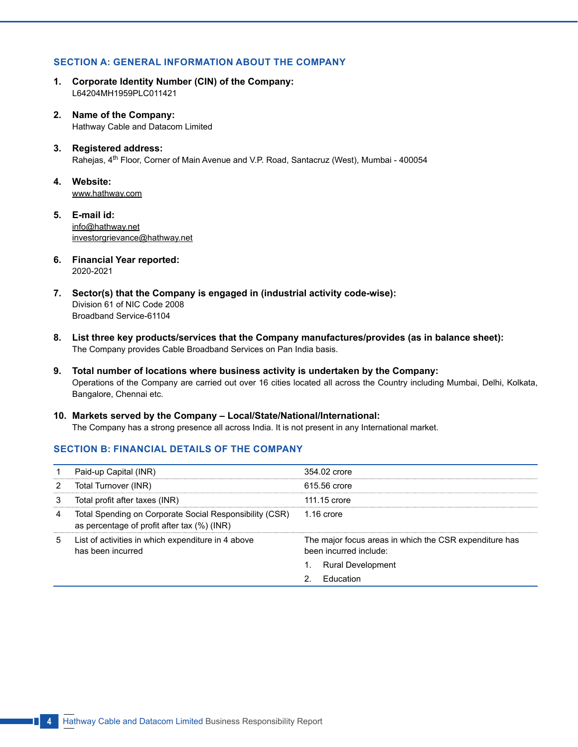# **SECTION A: GENERAL INFORMATION ABOUT THE COMPANY**

- **1. Corporate Identity Number (CIN) of the Company:** L64204MH1959PLC011421
- **2. Name of the Company:** Hathway Cable and Datacom Limited
- **3. Registered address:** Rahejas, 4th Floor, Corner of Main Avenue and V.P. Road, Santacruz (West), Mumbai - 400054
- **4. Website:** [www.hathway.com](http://www.hathway.com)
- **5. E-mail id:** [info@hathway.net](mailto:info@hathway.net) investorgrievance@hathway.net
- **6. Financial Year reported:** 2020-2021
- **7. Sector(s) that the Company is engaged in (industrial activity code-wise):** Division 61 of NIC Code 2008 Broadband Service-61104
- **8. List three key products/services that the Company manufactures/provides (as in balance sheet):** The Company provides Cable Broadband Services on Pan India basis.
- **9. Total number of locations where business activity is undertaken by the Company:** Operations of the Company are carried out over 16 cities located all across the Country including Mumbai, Delhi, Kolkata, Bangalore, Chennai etc.
- **10. Markets served by the Company Local/State/National/International:** The Company has a strong presence all across India. It is not present in any International market.

# **SECTION B: FINANCIAL DETAILS OF THE COMPANY**

|   | Paid-up Capital (INR)                                                                                  | 354.02 crore                                                                     |
|---|--------------------------------------------------------------------------------------------------------|----------------------------------------------------------------------------------|
|   | Total Turnover (INR)                                                                                   | 615.56 crore                                                                     |
|   | Total profit after taxes (INR)                                                                         | 111.15 crore                                                                     |
| 4 | Total Spending on Corporate Social Responsibility (CSR)<br>as percentage of profit after tax (%) (INR) | $1.16$ crore                                                                     |
| 5 | List of activities in which expenditure in 4 above<br>has been incurred                                | The major focus areas in which the CSR expenditure has<br>been incurred include: |
|   |                                                                                                        | <b>Rural Development</b>                                                         |
|   |                                                                                                        | <b>Education</b>                                                                 |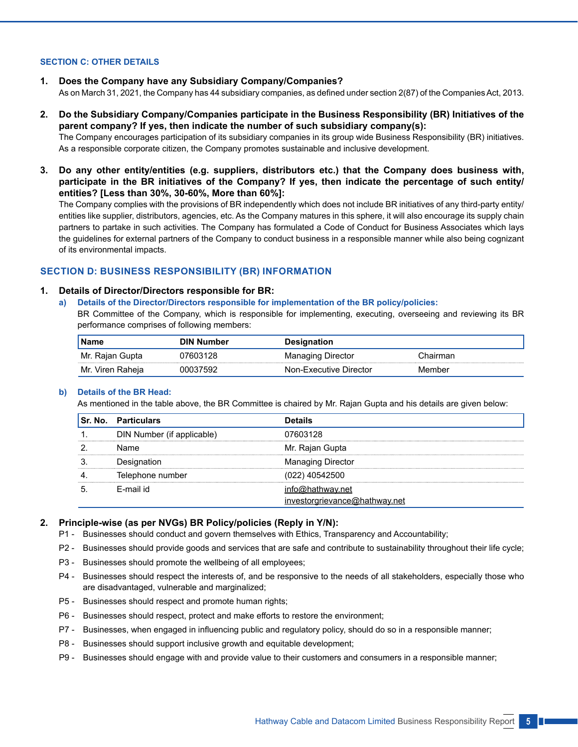# **SECTION C: OTHER DETAILS**

- **1. Does the Company have any Subsidiary Company/Companies?** As on March 31, 2021, the Company has 44 subsidiary companies, as defined under section 2(87) of the Companies Act, 2013.
- **2. Do the Subsidiary Company/Companies participate in the Business Responsibility (BR) Initiatives of the parent company? If yes, then indicate the number of such subsidiary company(s):**

 The Company encourages participation of its subsidiary companies in its group wide Business Responsibility (BR) initiatives. As a responsible corporate citizen, the Company promotes sustainable and inclusive development.

**3. Do any other entity/entities (e.g. suppliers, distributors etc.) that the Company does business with, participate in the BR initiatives of the Company? If yes, then indicate the percentage of such entity/ entities? [Less than 30%, 30-60%, More than 60%]:**

 The Company complies with the provisions of BR independently which does not include BR initiatives of any third-party entity/ entities like supplier, distributors, agencies, etc. As the Company matures in this sphere, it will also encourage its supply chain partners to partake in such activities. The Company has formulated a Code of Conduct for Business Associates which lays the guidelines for external partners of the Company to conduct business in a responsible manner while also being cognizant of its environmental impacts.

# **SECTION D: BUSINESS RESPONSIBILITY (BR) INFORMATION**

# **1. Details of Director/Directors responsible for BR:**

**a) Details of the Director/Directors responsible for implementation of the BR policy/policies:**

 BR Committee of the Company, which is responsible for implementing, executing, overseeing and reviewing its BR performance comprises of following members:

| <b>Name</b>         | <b>DIN Number</b> | Designation            |               |  |  |  |
|---------------------|-------------------|------------------------|---------------|--|--|--|
| Mr. Rajan Gupta     | 7603128           | Managing Director      | `hairman      |  |  |  |
| Mr. Viren<br>Raheia |                   | Non-Executive Director | <b>Jember</b> |  |  |  |

#### **b) Details of the BR Head:**

As mentioned in the table above, the BR Committee is chaired by Mr. Rajan Gupta and his details are given below:

| <b>Sr. No. Particulars</b> | <b>Details</b>                                 |
|----------------------------|------------------------------------------------|
| DIN Number (if applicable) | 07603128                                       |
| Name                       | Mr. Rajan Gupta                                |
| Designation                | <b>Managing Director</b>                       |
| Telephone number           | (022) 40542500                                 |
| F-mail id                  | o@hathwav.net<br>investorgrievance@hathway.net |

#### **2. Principle-wise (as per NVGs) BR Policy/policies (Reply in Y/N):**

- P1 Businesses should conduct and govern themselves with Ethics, Transparency and Accountability;
- P2 Businesses should provide goods and services that are safe and contribute to sustainability throughout their life cycle;
- P3 Businesses should promote the wellbeing of all employees;
- P4 Businesses should respect the interests of, and be responsive to the needs of all stakeholders, especially those who are disadvantaged, vulnerable and marginalized;
- P5 Businesses should respect and promote human rights;
- P6 Businesses should respect, protect and make efforts to restore the environment;
- P7 Businesses, when engaged in influencing public and regulatory policy, should do so in a responsible manner;
- P8 Businesses should support inclusive growth and equitable development;
- P9 Businesses should engage with and provide value to their customers and consumers in a responsible manner;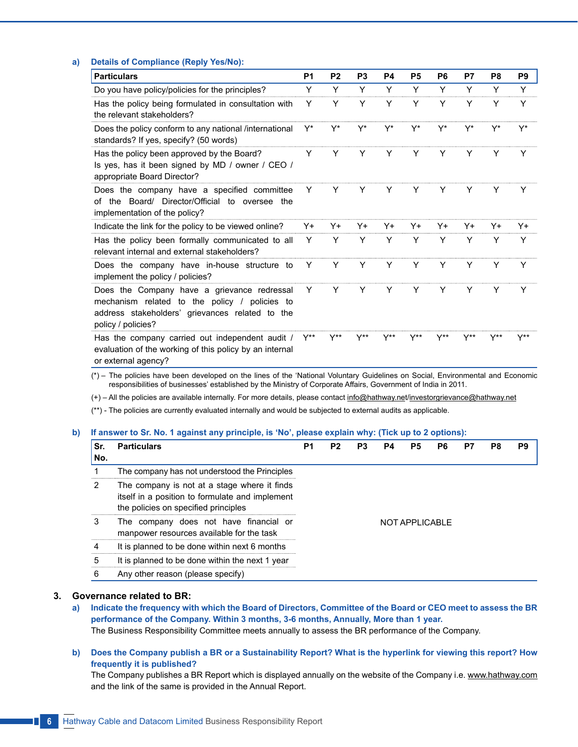#### **a) Details of Compliance (Reply Yes/No):**

| <b>Particulars</b>                                                                                                                                                    | P <sub>1</sub> | P <sub>2</sub>   | P <sub>3</sub>   | P4  | <b>P5</b> | P <sub>6</sub> | P7 | P <sub>8</sub> | P <sub>9</sub>   |
|-----------------------------------------------------------------------------------------------------------------------------------------------------------------------|----------------|------------------|------------------|-----|-----------|----------------|----|----------------|------------------|
| Do you have policy/policies for the principles?                                                                                                                       | Y              | Υ                | Y                | Υ   | Υ         | Υ              | Υ  | Υ              | Y                |
| Has the policy being formulated in consultation with<br>the relevant stakeholders?                                                                                    | Y              | Y                | Υ                | Υ   | Y         | Υ              | Y  | Υ              | Y                |
| Does the policy conform to any national /international<br>standards? If yes, specify? (50 words)                                                                      | Y*             | Y*               | Y*               | Y*  | Y*        | Y*             | Y* | Y*             | Y*               |
| Has the policy been approved by the Board?<br>Is yes, has it been signed by MD / owner / CEO /<br>appropriate Board Director?                                         | Y              | Y                | Y                | Y   | Y         | Y              | Y  | Y              | Y                |
| Does the company have a specified committee<br>the Board/ Director/Official to oversee the<br>Ωf<br>implementation of the policy?                                     | Y              |                  | Y                | Y   | Y         | Y              | Y  | Y              | Y                |
| Indicate the link for the policy to be viewed online?                                                                                                                 | Y+             | Y+               | Y+               | Y+  | Y+        | Y+             | Y+ | Y+             | Y+               |
| Has the policy been formally communicated to all<br>relevant internal and external stakeholders?                                                                      | Y              | Υ                | Y                | Υ   | Y         | Υ              | Υ  | Y              | Υ                |
| Does the company have in-house structure to<br>implement the policy / policies?                                                                                       | Y              | Y                | Y                | Y   | Y         | Y              | Y  | Y              | Y                |
| Does the Company have a grievance redressal<br>mechanism related to the policy / policies to<br>address stakeholders' grievances related to the<br>policy / policies? | Y              | Y                | Y                | Y   | Y         | Y              | Y  | Y              | Υ                |
| Has the company carried out independent audit /<br>evaluation of the working of this policy by an internal<br>or external agency?                                     | Y**            | $Y^{\star\star}$ | $Y^{\star\star}$ | Y** | Y**       |                |    | Y**            | $Y^{\star\star}$ |

 (\*) – The policies have been developed on the lines of the 'National Voluntary Guidelines on Social, Environmental and Economic responsibilities of businesses' established by the Ministry of Corporate Affairs, Government of India in 2011.

(+) – All the policies are available internally. For more details, please contact [info@hathway.net/](mailto:info@hathway.net)investorgrievance@hathway.net

(\*\*) - The policies are currently evaluated internally and would be subjected to external audits as applicable.

#### **b) If answer to Sr. No. 1 against any principle, is 'No', please explain why: (Tick up to 2 options):**

| Sr.<br>No. | <b>Particulars</b>                                                                                                                      | P <sub>1</sub> | P <sub>2</sub> | P <sub>3</sub> | P4 | P5 | P6 | P7 | P8 | P9 |
|------------|-----------------------------------------------------------------------------------------------------------------------------------------|----------------|----------------|----------------|----|----|----|----|----|----|
|            | The company has not understood the Principles                                                                                           |                |                |                |    |    |    |    |    |    |
| 2          | The company is not at a stage where it finds<br>itself in a position to formulate and implement<br>the policies on specified principles |                |                |                |    |    |    |    |    |    |
| 3          | The company does not have financial or<br>manpower resources available for the task                                                     |                |                | NOT APPLICABLE |    |    |    |    |    |    |
|            | It is planned to be done within next 6 months                                                                                           |                |                |                |    |    |    |    |    |    |
| 5          | It is planned to be done within the next 1 year                                                                                         |                |                |                |    |    |    |    |    |    |
| 6          | Any other reason (please specify)                                                                                                       |                |                |                |    |    |    |    |    |    |

# **3. Governance related to BR:**

**a) Indicate the frequency with which the Board of Directors, Committee of the Board or CEO meet to assess the BR performance of the Company. Within 3 months, 3-6 months, Annually, More than 1 year.** The Business Responsibility Committee meets annually to assess the BR performance of the Company.

**b) Does the Company publish a BR or a Sustainability Report? What is the hyperlink for viewing this report? How frequently it is published?**

The Company publishes a BR Report which is displayed annually on the website of the Company i.e. [www.hathway.com](http://www.hathway.com) and the link of the same is provided in the Annual Report.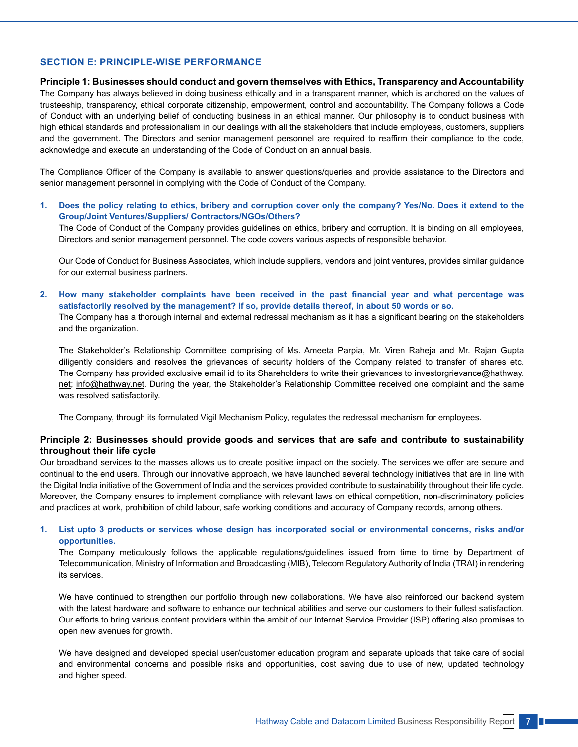# **SECTION E: PRINCIPLE-WISE PERFORMANCE**

#### **Principle 1: Businesses should conduct and govern themselves with Ethics, Transparency and Accountability**

The Company has always believed in doing business ethically and in a transparent manner, which is anchored on the values of trusteeship, transparency, ethical corporate citizenship, empowerment, control and accountability. The Company follows a Code of Conduct with an underlying belief of conducting business in an ethical manner. Our philosophy is to conduct business with high ethical standards and professionalism in our dealings with all the stakeholders that include employees, customers, suppliers and the government. The Directors and senior management personnel are required to reaffirm their compliance to the code, acknowledge and execute an understanding of the Code of Conduct on an annual basis.

The Compliance Officer of the Company is available to answer questions/queries and provide assistance to the Directors and senior management personnel in complying with the Code of Conduct of the Company.

**1. Does the policy relating to ethics, bribery and corruption cover only the company? Yes/No. Does it extend to the Group/Joint Ventures/Suppliers/ Contractors/NGOs/Others?** The Code of Conduct of the Company provides guidelines on ethics, bribery and corruption. It is binding on all employees, Directors and senior management personnel. The code covers various aspects of responsible behavior.

 Our Code of Conduct for Business Associates, which include suppliers, vendors and joint ventures, provides similar guidance for our external business partners.

**2. How many stakeholder complaints have been received in the past financial year and what percentage was satisfactorily resolved by the management? If so, provide details thereof, in about 50 words or so.** The Company has a thorough internal and external redressal mechanism as it has a significant bearing on the stakeholders and the organization.

 The Stakeholder's Relationship Committee comprising of Ms. Ameeta Parpia, Mr. Viren Raheja and Mr. Rajan Gupta diligently considers and resolves the grievances of security holders of the Company related to transfer of shares etc. The Company has provided exclusive email id to its Shareholders to write their grievances to [investorgrievance@hathway.](mailto:investorgrievance@hathway.net) [net](mailto:investorgrievance@hathway.net); info@hathway.net. During the year, the Stakeholder's Relationship Committee received one complaint and the same was resolved satisfactorily.

The Company, through its formulated Vigil Mechanism Policy, regulates the redressal mechanism for employees.

# **Principle 2: Businesses should provide goods and services that are safe and contribute to sustainability throughout their life cycle**

Our broadband services to the masses allows us to create positive impact on the society. The services we offer are secure and continual to the end users. Through our innovative approach, we have launched several technology initiatives that are in line with the Digital India initiative of the Government of India and the services provided contribute to sustainability throughout their life cycle. Moreover, the Company ensures to implement compliance with relevant laws on ethical competition, non-discriminatory policies and practices at work, prohibition of child labour, safe working conditions and accuracy of Company records, among others.

# **1. List upto 3 products or services whose design has incorporated social or environmental concerns, risks and/or opportunities.**

 The Company meticulously follows the applicable regulations/guidelines issued from time to time by Department of Telecommunication, Ministry of Information and Broadcasting (MIB), Telecom Regulatory Authority of India (TRAI) in rendering its services.

 We have continued to strengthen our portfolio through new collaborations. We have also reinforced our backend system with the latest hardware and software to enhance our technical abilities and serve our customers to their fullest satisfaction. Our efforts to bring various content providers within the ambit of our Internet Service Provider (ISP) offering also promises to open new avenues for growth.

 We have designed and developed special user/customer education program and separate uploads that take care of social and environmental concerns and possible risks and opportunities, cost saving due to use of new, updated technology and higher speed.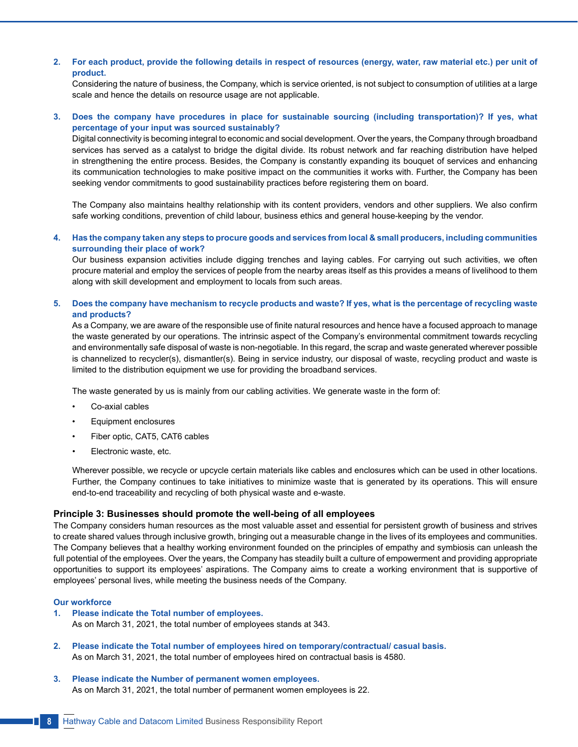# **2. For each product, provide the following details in respect of resources (energy, water, raw material etc.) per unit of product.**

 Considering the nature of business, the Company, which is service oriented, is not subject to consumption of utilities at a large scale and hence the details on resource usage are not applicable.

# **3. Does the company have procedures in place for sustainable sourcing (including transportation)? If yes, what percentage of your input was sourced sustainably?**

 Digital connectivity is becoming integral to economic and social development. Over the years, the Company through broadband services has served as a catalyst to bridge the digital divide. Its robust network and far reaching distribution have helped in strengthening the entire process. Besides, the Company is constantly expanding its bouquet of services and enhancing its communication technologies to make positive impact on the communities it works with. Further, the Company has been seeking vendor commitments to good sustainability practices before registering them on board.

The Company also maintains healthy relationship with its content providers, vendors and other suppliers. We also confirm safe working conditions, prevention of child labour, business ethics and general house-keeping by the vendor.

# **4. Has the company taken any steps to procure goods and services from local & small producers, including communities surrounding their place of work?**

 Our business expansion activities include digging trenches and laying cables. For carrying out such activities, we often procure material and employ the services of people from the nearby areas itself as this provides a means of livelihood to them along with skill development and employment to locals from such areas.

# **5. Does the company have mechanism to recycle products and waste? If yes, what is the percentage of recycling waste and products?**

As a Company, we are aware of the responsible use of finite natural resources and hence have a focused approach to manage the waste generated by our operations. The intrinsic aspect of the Company's environmental commitment towards recycling and environmentally safe disposal of waste is non-negotiable. In this regard, the scrap and waste generated wherever possible is channelized to recycler(s), dismantler(s). Being in service industry, our disposal of waste, recycling product and waste is limited to the distribution equipment we use for providing the broadband services.

The waste generated by us is mainly from our cabling activities. We generate waste in the form of:

- Co-axial cables
- Equipment enclosures
- Fiber optic, CAT5, CAT6 cables
- Electronic waste, etc.

 Wherever possible, we recycle or upcycle certain materials like cables and enclosures which can be used in other locations. Further, the Company continues to take initiatives to minimize waste that is generated by its operations. This will ensure end-to-end traceability and recycling of both physical waste and e-waste.

# **Principle 3: Businesses should promote the well-being of all employees**

The Company considers human resources as the most valuable asset and essential for persistent growth of business and strives to create shared values through inclusive growth, bringing out a measurable change in the lives of its employees and communities. The Company believes that a healthy working environment founded on the principles of empathy and symbiosis can unleash the full potential of the employees. Over the years, the Company has steadily built a culture of empowerment and providing appropriate opportunities to support its employees' aspirations. The Company aims to create a working environment that is supportive of employees' personal lives, while meeting the business needs of the Company.

# **Our workforce**

- **1. Please indicate the Total number of employees.** As on March 31, 2021, the total number of employees stands at 343.
- **2. Please indicate the Total number of employees hired on temporary/contractual/ casual basis.** As on March 31, 2021, the total number of employees hired on contractual basis is 4580.
- **3. Please indicate the Number of permanent women employees.** As on March 31, 2021, the total number of permanent women employees is 22.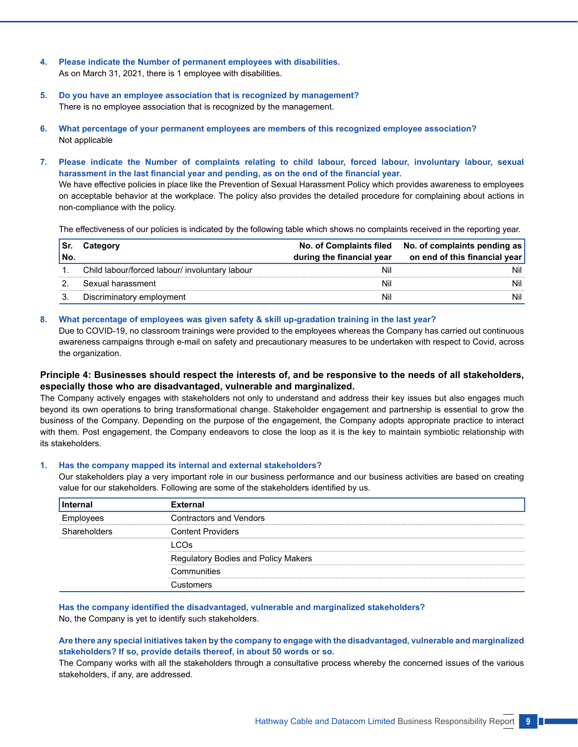- **4. Please indicate the Number of permanent employees with disabilities.** As on March 31, 2021, there is 1 employee with disabilities.
- **5. Do you have an employee association that is recognized by management?** There is no employee association that is recognized by the management.
- **6. What percentage of your permanent employees are members of this recognized employee association?** Not applicable
- **7. Please indicate the Number of complaints relating to child labour, forced labour, involuntary labour, sexual harassment in the last financial year and pending, as on the end of the financial year.**

We have effective policies in place like the Prevention of Sexual Harassment Policy which provides awareness to employees on acceptable behavior at the workplace. The policy also provides the detailed procedure for complaining about actions in non-compliance with the policy.

The effectiveness of our policies is indicated by the following table which shows no complaints received in the reporting year.

| No. | Category                                       | during the financial year | No. of Complaints filed No. of complaints pending as<br>on end of this financial year |
|-----|------------------------------------------------|---------------------------|---------------------------------------------------------------------------------------|
|     | Child labour/forced labour/ involuntary labour | Nil                       | Nil                                                                                   |
|     | Sexual harassment                              | Ni                        | Nil                                                                                   |
|     | Discriminatory employment                      | Nil                       | Nil                                                                                   |

# **8. What percentage of employees was given safety & skill up-gradation training in the last year?**

 Due to COVID-19, no classroom trainings were provided to the employees whereas the Company has carried out continuous awareness campaigns through e-mail on safety and precautionary measures to be undertaken with respect to Covid, across the organization.

# **Principle 4: Businesses should respect the interests of, and be responsive to the needs of all stakeholders, especially those who are disadvantaged, vulnerable and marginalized.**

The Company actively engages with stakeholders not only to understand and address their key issues but also engages much beyond its own operations to bring transformational change. Stakeholder engagement and partnership is essential to grow the business of the Company. Depending on the purpose of the engagement, the Company adopts appropriate practice to interact with them. Post engagement, the Company endeavors to close the loop as it is the key to maintain symbiotic relationship with its stakeholders.

#### **1. Has the company mapped its internal and external stakeholders?**

 Our stakeholders play a very important role in our business performance and our business activities are based on creating value for our stakeholders. Following are some of the stakeholders identified by us.

| Internal      | <b>External</b>                     |  |
|---------------|-------------------------------------|--|
| <b>ADVECS</b> | <b>Contractors and Vendors</b>      |  |
| Shareholders  | <b>Content Providers</b>            |  |
|               | ∩ി<                                 |  |
|               | Regulatory Bodies and Policy Makers |  |
|               | Communities                         |  |
|               | Customers                           |  |

 **Has the company identified the disadvantaged, vulnerable and marginalized stakeholders?** No, the Company is yet to identify such stakeholders.

 **Are there any special initiatives taken by the company to engage with the disadvantaged, vulnerable and marginalized stakeholders? If so, provide details thereof, in about 50 words or so.**

 The Company works with all the stakeholders through a consultative process whereby the concerned issues of the various stakeholders, if any, are addressed.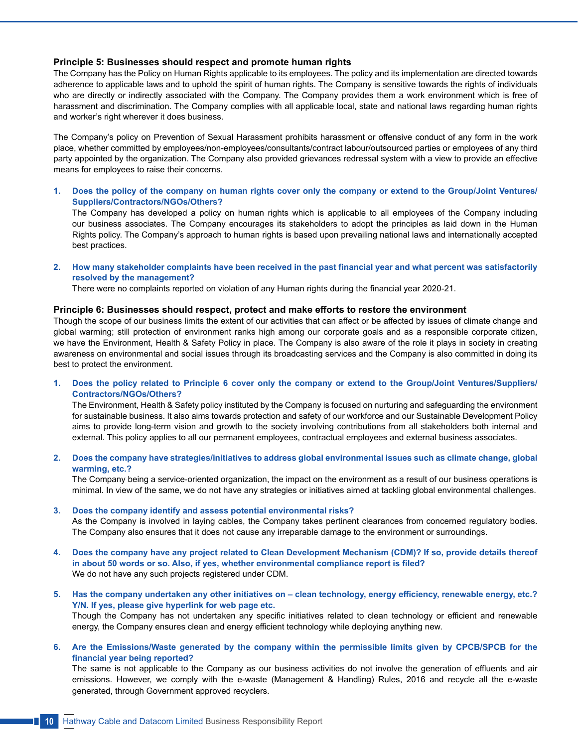# **Principle 5: Businesses should respect and promote human rights**

The Company has the Policy on Human Rights applicable to its employees. The policy and its implementation are directed towards adherence to applicable laws and to uphold the spirit of human rights. The Company is sensitive towards the rights of individuals who are directly or indirectly associated with the Company. The Company provides them a work environment which is free of harassment and discrimination. The Company complies with all applicable local, state and national laws regarding human rights and worker's right wherever it does business.

The Company's policy on Prevention of Sexual Harassment prohibits harassment or offensive conduct of any form in the work place, whether committed by employees/non-employees/consultants/contract labour/outsourced parties or employees of any third party appointed by the organization. The Company also provided grievances redressal system with a view to provide an effective means for employees to raise their concerns.

**1. Does the policy of the company on human rights cover only the company or extend to the Group/Joint Ventures/ Suppliers/Contractors/NGOs/Others?**

 The Company has developed a policy on human rights which is applicable to all employees of the Company including our business associates. The Company encourages its stakeholders to adopt the principles as laid down in the Human Rights policy. The Company's approach to human rights is based upon prevailing national laws and internationally accepted best practices.

2. How many stakeholder complaints have been received in the past financial year and what percent was satisfactorily **resolved by the management?**

There were no complaints reported on violation of any Human rights during the financial year 2020-21.

#### **Principle 6: Businesses should respect, protect and make efforts to restore the environment**

Though the scope of our business limits the extent of our activities that can affect or be affected by issues of climate change and global warming; still protection of environment ranks high among our corporate goals and as a responsible corporate citizen, we have the Environment, Health & Safety Policy in place. The Company is also aware of the role it plays in society in creating awareness on environmental and social issues through its broadcasting services and the Company is also committed in doing its best to protect the environment.

**1. Does the policy related to Principle 6 cover only the company or extend to the Group/Joint Ventures/Suppliers/ Contractors/NGOs/Others?**

 The Environment, Health & Safety policy instituted by the Company is focused on nurturing and safeguarding the environment for sustainable business. It also aims towards protection and safety of our workforce and our Sustainable Development Policy aims to provide long-term vision and growth to the society involving contributions from all stakeholders both internal and external. This policy applies to all our permanent employees, contractual employees and external business associates.

**2. Does the company have strategies/initiatives to address global environmental issues such as climate change, global warming, etc.?**

 The Company being a service-oriented organization, the impact on the environment as a result of our business operations is minimal. In view of the same, we do not have any strategies or initiatives aimed at tackling global environmental challenges.

- **3. Does the company identify and assess potential environmental risks?** As the Company is involved in laying cables, the Company takes pertinent clearances from concerned regulatory bodies. The Company also ensures that it does not cause any irreparable damage to the environment or surroundings.
- **4. Does the company have any project related to Clean Development Mechanism (CDM)? If so, provide details thereof in about 50 words or so. Also, if yes, whether environmental compliance report is filed?** We do not have any such projects registered under CDM.
- 5. Has the company undertaken any other initiatives on clean technology, energy efficiency, renewable energy, etc.? **Y/N. If yes, please give hyperlink for web page etc.** Though the Company has not undertaken any specific initiatives related to clean technology or efficient and renewable energy, the Company ensures clean and energy efficient technology while deploying anything new.
- **6. Are the Emissions/Waste generated by the company within the permissible limits given by CPCB/SPCB for the financial year being reported?**

The same is not applicable to the Company as our business activities do not involve the generation of effluents and air emissions. However, we comply with the e-waste (Management & Handling) Rules, 2016 and recycle all the e-waste generated, through Government approved recyclers.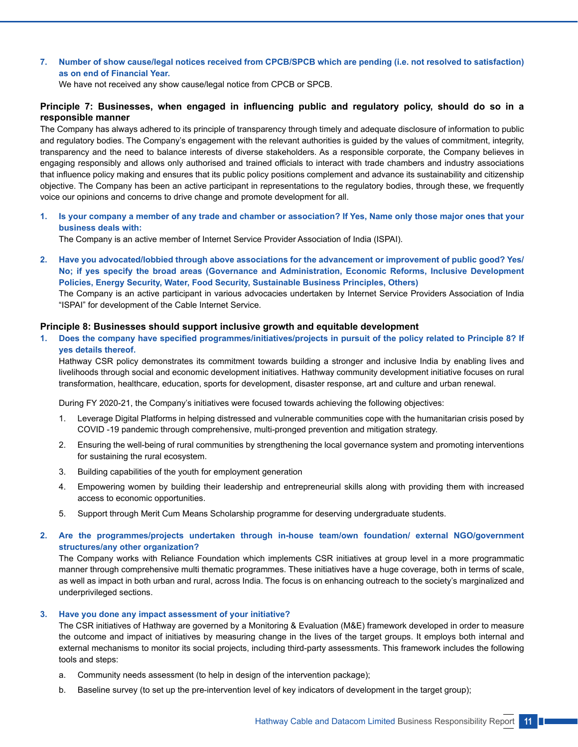# **7. Number of show cause/legal notices received from CPCB/SPCB which are pending (i.e. not resolved to satisfaction) as on end of Financial Year.**

We have not received any show cause/legal notice from CPCB or SPCB.

# **Principle 7: Businesses, when engaged in influencing public and regulatory policy, should do so in a responsible manner**

The Company has always adhered to its principle of transparency through timely and adequate disclosure of information to public and regulatory bodies. The Company's engagement with the relevant authorities is guided by the values of commitment, integrity, transparency and the need to balance interests of diverse stakeholders. As a responsible corporate, the Company believes in engaging responsibly and allows only authorised and trained officials to interact with trade chambers and industry associations that influence policy making and ensures that its public policy positions complement and advance its sustainability and citizenship objective. The Company has been an active participant in representations to the regulatory bodies, through these, we frequently voice our opinions and concerns to drive change and promote development for all.

**1. Is your company a member of any trade and chamber or association? If Yes, Name only those major ones that your business deals with:**

The Company is an active member of Internet Service Provider Association of India (ISPAI).

**2. Have you advocated/lobbied through above associations for the advancement or improvement of public good? Yes/ No; if yes specify the broad areas (Governance and Administration, Economic Reforms, Inclusive Development Policies, Energy Security, Water, Food Security, Sustainable Business Principles, Others)**

 The Company is an active participant in various advocacies undertaken by Internet Service Providers Association of India "ISPAI" for development of the Cable Internet Service.

# **Principle 8: Businesses should support inclusive growth and equitable development**

1. Does the company have specified programmes/initiatives/projects in pursuit of the policy related to Principle 8? If **yes details thereof.**

 Hathway CSR policy demonstrates its commitment towards building a stronger and inclusive India by enabling lives and livelihoods through social and economic development initiatives. Hathway community development initiative focuses on rural transformation, healthcare, education, sports for development, disaster response, art and culture and urban renewal.

During FY 2020-21, the Company's initiatives were focused towards achieving the following objectives:

- 1. Leverage Digital Platforms in helping distressed and vulnerable communities cope with the humanitarian crisis posed by COVID -19 pandemic through comprehensive, multi-pronged prevention and mitigation strategy.
- 2. Ensuring the well-being of rural communities by strengthening the local governance system and promoting interventions for sustaining the rural ecosystem.
- 3. Building capabilities of the youth for employment generation
- 4. Empowering women by building their leadership and entrepreneurial skills along with providing them with increased access to economic opportunities.
- 5. Support through Merit Cum Means Scholarship programme for deserving undergraduate students.
- **2. Are the programmes/projects undertaken through in-house team/own foundation/ external NGO/government structures/any other organization?**

 The Company works with Reliance Foundation which implements CSR initiatives at group level in a more programmatic manner through comprehensive multi thematic programmes. These initiatives have a huge coverage, both in terms of scale, as well as impact in both urban and rural, across India. The focus is on enhancing outreach to the society's marginalized and underprivileged sections.

#### **3. Have you done any impact assessment of your initiative?**

 The CSR initiatives of Hathway are governed by a Monitoring & Evaluation (M&E) framework developed in order to measure the outcome and impact of initiatives by measuring change in the lives of the target groups. It employs both internal and external mechanisms to monitor its social projects, including third-party assessments. This framework includes the following tools and steps:

- a. Community needs assessment (to help in design of the intervention package);
- b. Baseline survey (to set up the pre-intervention level of key indicators of development in the target group);